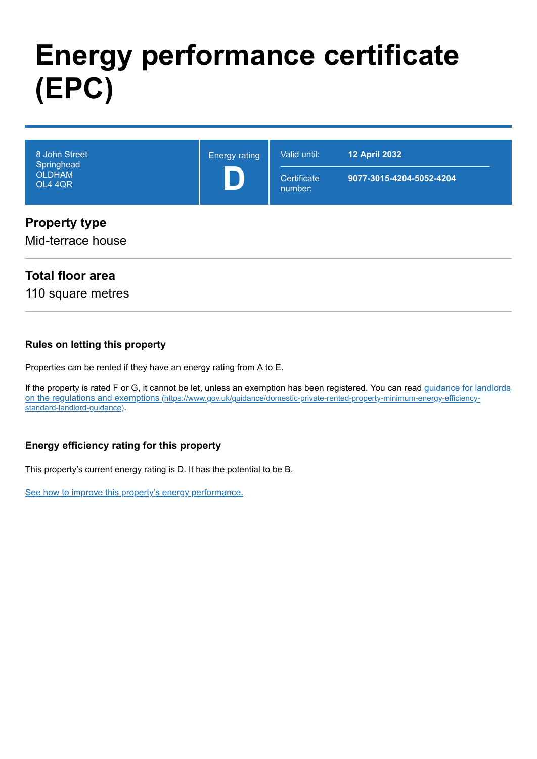# **Energy performance certificate (EPC)**

| 8 John Street<br>Springhead<br><b>OLDHAM</b><br>OL4 4QR | <b>Energy rating</b> | Valid until:<br>Certificate<br>number: | <b>12 April 2032</b><br>9077-3015-4204-5052-4204 |
|---------------------------------------------------------|----------------------|----------------------------------------|--------------------------------------------------|
| <b>Property type</b><br>Mid-terrace house               |                      |                                        |                                                  |

## **Total floor area**

110 square metres

#### **Rules on letting this property**

Properties can be rented if they have an energy rating from A to E.

[If the property is rated F or G, it cannot be let, unless an exemption has been registered. You can read guidance for landlords](https://www.gov.uk/guidance/domestic-private-rented-property-minimum-energy-efficiency-standard-landlord-guidance) on the regulations and exemptions (https://www.gov.uk/guidance/domestic-private-rented-property-minimum-energy-efficiencystandard-landlord-guidance).

#### **Energy efficiency rating for this property**

This property's current energy rating is D. It has the potential to be B.

[See how to improve this property's energy performance.](#page-3-0)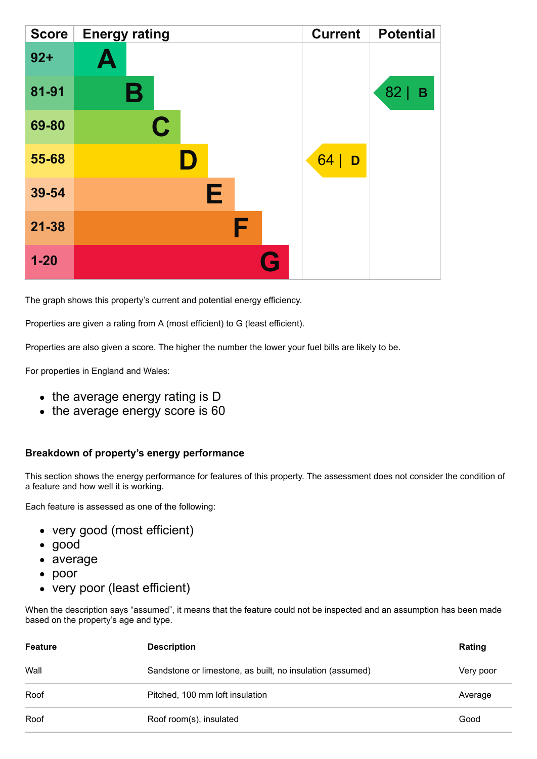| <b>Score</b> | <b>Energy rating</b> | <b>Current</b> | <b>Potential</b> |
|--------------|----------------------|----------------|------------------|
| $92 +$       | $\blacktriangle$     |                |                  |
| 81-91        | В                    |                | 82<br>B          |
| 69-80        | $\mathbf C$          |                |                  |
| 55-68        |                      | 64 <br>D       |                  |
| 39-54        | Е                    |                |                  |
| $21 - 38$    | F                    |                |                  |
| $1 - 20$     | Q                    |                |                  |

The graph shows this property's current and potential energy efficiency.

Properties are given a rating from A (most efficient) to G (least efficient).

Properties are also given a score. The higher the number the lower your fuel bills are likely to be.

For properties in England and Wales:

- the average energy rating is D
- the average energy score is 60

#### **Breakdown of property's energy performance**

This section shows the energy performance for features of this property. The assessment does not consider the condition of a feature and how well it is working.

Each feature is assessed as one of the following:

- very good (most efficient)
- good
- average
- poor
- very poor (least efficient)

When the description says "assumed", it means that the feature could not be inspected and an assumption has been made based on the property's age and type.

| <b>Feature</b> | <b>Description</b>                                        |           |
|----------------|-----------------------------------------------------------|-----------|
| Wall           | Sandstone or limestone, as built, no insulation (assumed) | Very poor |
| Roof           | Pitched, 100 mm loft insulation                           | Average   |
| Roof           | Roof room(s), insulated                                   | Good      |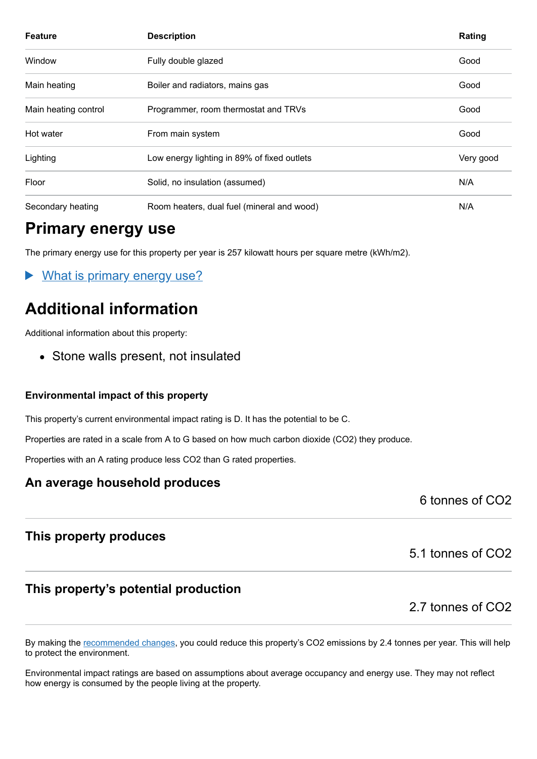| <b>Feature</b>       | <b>Description</b>                                       | Rating |
|----------------------|----------------------------------------------------------|--------|
| Window               | Fully double glazed                                      | Good   |
| Main heating         | Good<br>Boiler and radiators, mains gas                  |        |
| Main heating control | Programmer, room thermostat and TRVs<br>Good             |        |
| Hot water            | From main system<br>Good                                 |        |
| Lighting             | Low energy lighting in 89% of fixed outlets<br>Very good |        |
| Floor                | Solid, no insulation (assumed)                           | N/A    |
| Secondary heating    | N/A<br>Room heaters, dual fuel (mineral and wood)        |        |

# **Primary energy use**

The primary energy use for this property per year is 257 kilowatt hours per square metre (kWh/m2).

What is primary energy use?

# **Additional information**

Additional information about this property:

• Stone walls present, not insulated

#### **Environmental impact of this property**

This property's current environmental impact rating is D. It has the potential to be C.

Properties are rated in a scale from A to G based on how much carbon dioxide (CO2) they produce.

Properties with an A rating produce less CO2 than G rated properties.

#### **An average household produces**

6 tonnes of CO2

#### **This property produces**

## **This property's potential production**

2.7 tonnes of CO2

5.1 tonnes of CO2

By making the [recommended changes,](#page-3-0) you could reduce this property's CO2 emissions by 2.4 tonnes per year. This will help to protect the environment.

Environmental impact ratings are based on assumptions about average occupancy and energy use. They may not reflect how energy is consumed by the people living at the property.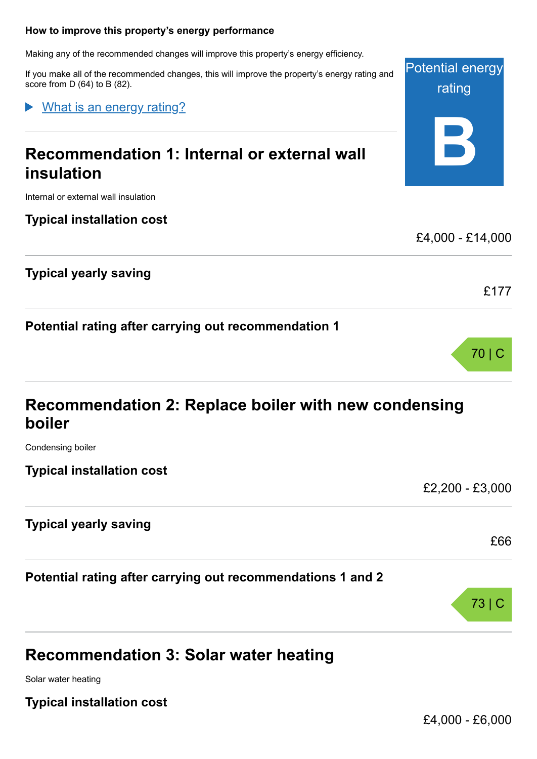#### <span id="page-3-0"></span>**How to improve this property's energy performance**

Making any of the recommended changes will improve this property's energy efficiency.

If you make all of the recommended changes, this will improve the property's energy rating and score from D (64) to B (82).

What is an energy rating?

# **Recommendation 1: Internal or external wall insulation**

Internal or external wall insulation

**Typical installation cost**

**Typical yearly saving**

**Potential rating after carrying out recommendation 1**

| Recommendation 2: Replace boiler with new condensing |  |
|------------------------------------------------------|--|
| boiler                                               |  |

Condensing boiler

**Typical installation cost**

£2,200 - £3,000

#### **Typical yearly saving**

**Potential rating after carrying out recommendations 1 and 2**

# **Recommendation 3: Solar water heating**

Solar water heating

**Typical installation cost**



70 | C



Potential energy

rating

**B**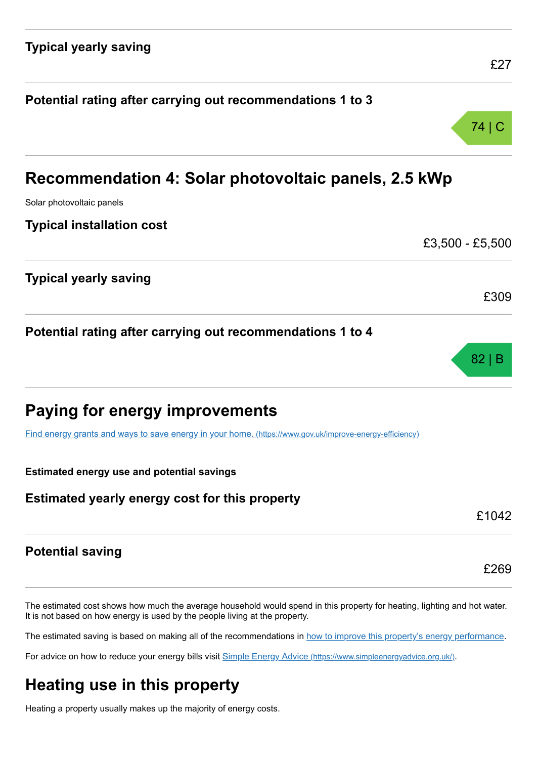| £27                                                  |
|------------------------------------------------------|
|                                                      |
| 74   C                                               |
| Recommendation 4: Solar photovoltaic panels, 2.5 kWp |
|                                                      |
|                                                      |
| £3,500 - £5,500                                      |
|                                                      |

£309

82 | B

£1042

£269

**Potential rating after carrying out recommendations 1 to 4**

|  |  |  |  | <b>Paying for energy improvements</b> |
|--|--|--|--|---------------------------------------|
|--|--|--|--|---------------------------------------|

[Find energy grants and ways to save energy in your home.](https://www.gov.uk/improve-energy-efficiency) (https://www.gov.uk/improve-energy-efficiency)

**Estimated energy use and potential savings**

#### **Estimated yearly energy cost for this property**

#### **Potential saving**

**Typical yearly saving**

The estimated cost shows how much the average household would spend in this property for heating, lighting and hot water. It is not based on how energy is used by the people living at the property.

The estimated saving is based on making all of the recommendations in [how to improve this property's energy performance.](#page-3-0)

For advice on how to reduce your energy bills visit Simple Energy Advice [\(https://www.simpleenergyadvice.org.uk/\)](https://www.simpleenergyadvice.org.uk/).

# **Heating use in this property**

Heating a property usually makes up the majority of energy costs.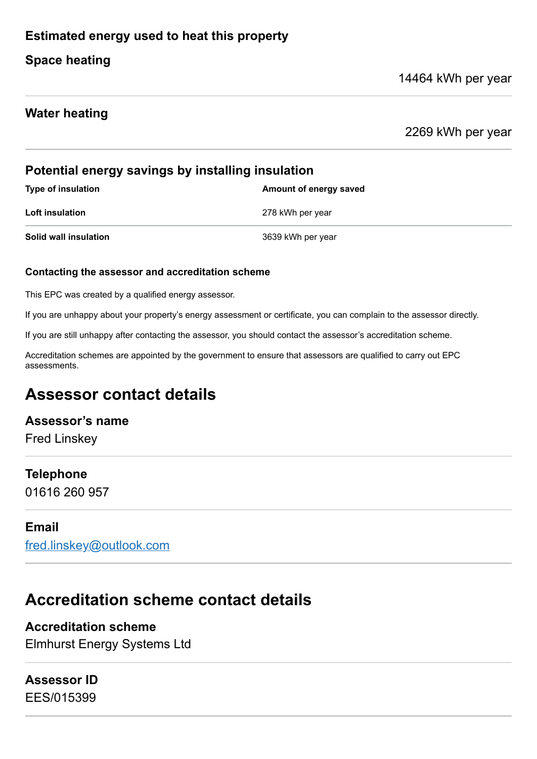## **Estimated energy used to heat this property**

## **Space heating**

#### 14464 kWh per year

#### **Water heating**

2269 kWh per year

#### **Potential energy savings by installing insulation**

| <b>Type of insulation</b> | Amount of energy saved |
|---------------------------|------------------------|
| <b>Loft insulation</b>    | 278 kWh per year       |
| Solid wall insulation     | 3639 kWh per year      |

#### **Contacting the assessor and accreditation scheme**

This EPC was created by a qualified energy assessor.

If you are unhappy about your property's energy assessment or certificate, you can complain to the assessor directly.

If you are still unhappy after contacting the assessor, you should contact the assessor's accreditation scheme.

Accreditation schemes are appointed by the government to ensure that assessors are qualified to carry out EPC assessments.

# **Assessor contact details**

#### **Assessor's name**

Fred Linskey

#### **Telephone**

01616 260 957

#### **Email**

[fred.linskey@outlook.com](mailto:fred.linskey@outlook.com)

# **Accreditation scheme contact details**

**Accreditation scheme** Elmhurst Energy Systems Ltd

## **Assessor ID**

EES/015399